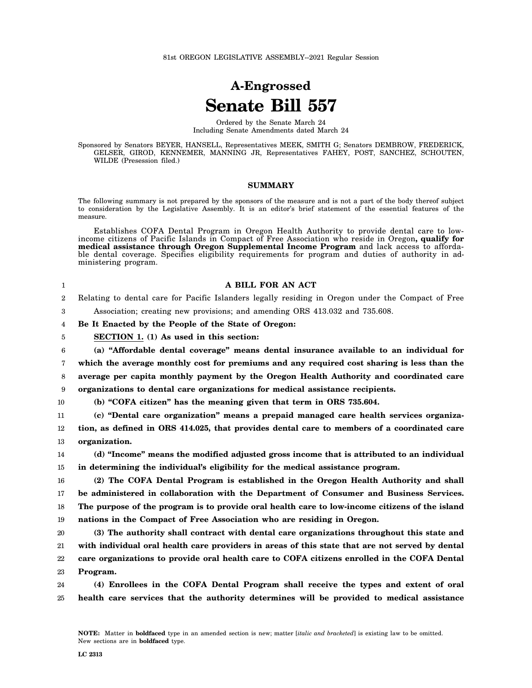## **A-Engrossed Senate Bill 557**

Ordered by the Senate March 24 Including Senate Amendments dated March 24

Sponsored by Senators BEYER, HANSELL, Representatives MEEK, SMITH G; Senators DEMBROW, FREDERICK, GELSER, GIROD, KENNEMER, MANNING JR, Representatives FAHEY, POST, SANCHEZ, SCHOUTEN, WILDE (Presession filed.)

## **SUMMARY**

The following summary is not prepared by the sponsors of the measure and is not a part of the body thereof subject to consideration by the Legislative Assembly. It is an editor's brief statement of the essential features of the measure.

Establishes COFA Dental Program in Oregon Health Authority to provide dental care to lowincome citizens of Pacific Islands in Compact of Free Association who reside in Oregon**, qualify for medical assistance through Oregon Supplemental Income Program** and lack access to affordable dental coverage. Specifies eligibility requirements for program and duties of authority in administering program.

| 1              | A BILL FOR AN ACT                                                                                  |
|----------------|----------------------------------------------------------------------------------------------------|
| $\overline{2}$ | Relating to dental care for Pacific Islanders legally residing in Oregon under the Compact of Free |
| 3              | Association; creating new provisions; and amending ORS 413.032 and 735.608.                        |
| 4              | Be It Enacted by the People of the State of Oregon:                                                |
| 5              | SECTION 1. (1) As used in this section:                                                            |
| 6              | (a) "Affordable dental coverage" means dental insurance available to an individual for             |
| 7              | which the average monthly cost for premiums and any required cost sharing is less than the         |
| 8              | average per capita monthly payment by the Oregon Health Authority and coordinated care             |
| 9              | organizations to dental care organizations for medical assistance recipients.                      |
| 10             | (b) "COFA citizen" has the meaning given that term in ORS 735.604.                                 |
| 11             | (c) "Dental care organization" means a prepaid managed care health services organiza-              |
| 12             | tion, as defined in ORS 414.025, that provides dental care to members of a coordinated care        |
| 13             | organization.                                                                                      |
| 14             | (d) "Income" means the modified adjusted gross income that is attributed to an individual          |
| 15             | in determining the individual's eligibility for the medical assistance program.                    |
| 16             | (2) The COFA Dental Program is established in the Oregon Health Authority and shall                |
| 17             | be administered in collaboration with the Department of Consumer and Business Services.            |
| 18             | The purpose of the program is to provide oral health care to low-income citizens of the island     |
| 19             | nations in the Compact of Free Association who are residing in Oregon.                             |
| 20             | (3) The authority shall contract with dental care organizations throughout this state and          |
| 21             | with individual oral health care providers in areas of this state that are not served by dental    |
| 22             | care organizations to provide oral health care to COFA citizens enrolled in the COFA Dental        |
| 23             | Program.                                                                                           |
| 24             | (4) Enrollees in the COFA Dental Program shall receive the types and extent of oral                |
| 25             | health care services that the authority determines will be provided to medical assistance          |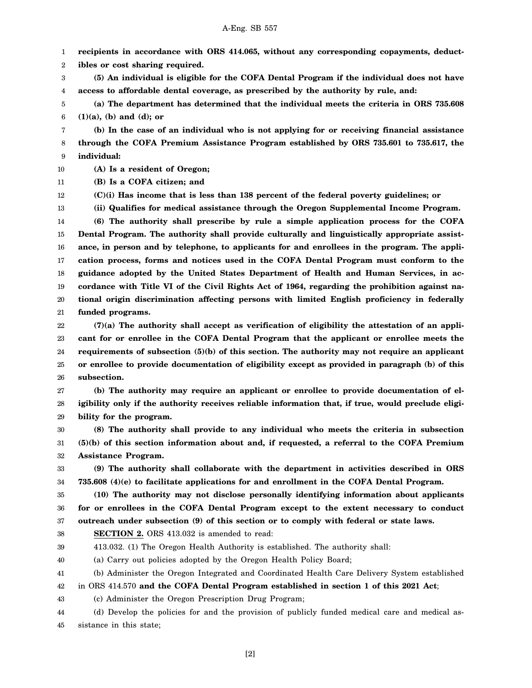1 **recipients in accordance with ORS 414.065, without any corresponding copayments, deduct-**

2 **ibles or cost sharing required.**

3 4 **(5) An individual is eligible for the COFA Dental Program if the individual does not have access to affordable dental coverage, as prescribed by the authority by rule, and:**

5 6 **(a) The department has determined that the individual meets the criteria in ORS 735.608 (1)(a), (b) and (d); or**

7 8 9 **(b) In the case of an individual who is not applying for or receiving financial assistance through the COFA Premium Assistance Program established by ORS 735.601 to 735.617, the individual:**

10 **(A) Is a resident of Oregon;**

11 **(B) Is a COFA citizen; and**

12 **(C)(i) Has income that is less than 138 percent of the federal poverty guidelines; or**

13 **(ii) Qualifies for medical assistance through the Oregon Supplemental Income Program.**

14 15 16 17 18 19 20 21 **(6) The authority shall prescribe by rule a simple application process for the COFA Dental Program. The authority shall provide culturally and linguistically appropriate assistance, in person and by telephone, to applicants for and enrollees in the program. The application process, forms and notices used in the COFA Dental Program must conform to the guidance adopted by the United States Department of Health and Human Services, in accordance with Title VI of the Civil Rights Act of 1964, regarding the prohibition against national origin discrimination affecting persons with limited English proficiency in federally funded programs.**

22 23 24 25 26 **(7)(a) The authority shall accept as verification of eligibility the attestation of an applicant for or enrollee in the COFA Dental Program that the applicant or enrollee meets the requirements of subsection (5)(b) of this section. The authority may not require an applicant or enrollee to provide documentation of eligibility except as provided in paragraph (b) of this subsection.**

27 28 29 **(b) The authority may require an applicant or enrollee to provide documentation of eligibility only if the authority receives reliable information that, if true, would preclude eligibility for the program.**

30 31 32 **(8) The authority shall provide to any individual who meets the criteria in subsection (5)(b) of this section information about and, if requested, a referral to the COFA Premium Assistance Program.**

33 34 **(9) The authority shall collaborate with the department in activities described in ORS 735.608 (4)(e) to facilitate applications for and enrollment in the COFA Dental Program.**

35 36 37 **(10) The authority may not disclose personally identifying information about applicants for or enrollees in the COFA Dental Program except to the extent necessary to conduct outreach under subsection (9) of this section or to comply with federal or state laws.**

38 **SECTION 2.** ORS 413.032 is amended to read:

39 413.032. (1) The Oregon Health Authority is established. The authority shall:

40 (a) Carry out policies adopted by the Oregon Health Policy Board;

41 (b) Administer the Oregon Integrated and Coordinated Health Care Delivery System established

42 in ORS 414.570 **and the COFA Dental Program established in section 1 of this 2021 Act**;

43 (c) Administer the Oregon Prescription Drug Program;

44 45 (d) Develop the policies for and the provision of publicly funded medical care and medical assistance in this state;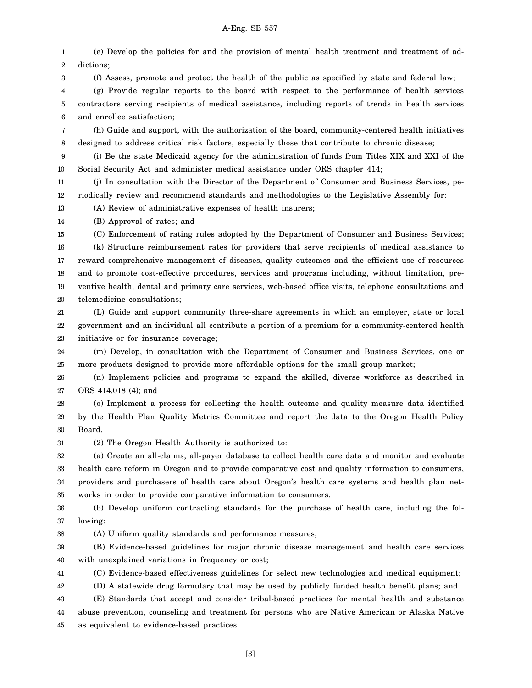## A-Eng. SB 557

1 2 3 4 5 6 7 8 9 10 11 12 13 14 15 16 17 18 19 20 21 22 23 24 25 26 27 28 29 30 31 32 (e) Develop the policies for and the provision of mental health treatment and treatment of addictions; (f) Assess, promote and protect the health of the public as specified by state and federal law; (g) Provide regular reports to the board with respect to the performance of health services contractors serving recipients of medical assistance, including reports of trends in health services and enrollee satisfaction; (h) Guide and support, with the authorization of the board, community-centered health initiatives designed to address critical risk factors, especially those that contribute to chronic disease; (i) Be the state Medicaid agency for the administration of funds from Titles XIX and XXI of the Social Security Act and administer medical assistance under ORS chapter 414; (j) In consultation with the Director of the Department of Consumer and Business Services, periodically review and recommend standards and methodologies to the Legislative Assembly for: (A) Review of administrative expenses of health insurers; (B) Approval of rates; and (C) Enforcement of rating rules adopted by the Department of Consumer and Business Services; (k) Structure reimbursement rates for providers that serve recipients of medical assistance to reward comprehensive management of diseases, quality outcomes and the efficient use of resources and to promote cost-effective procedures, services and programs including, without limitation, preventive health, dental and primary care services, web-based office visits, telephone consultations and telemedicine consultations; (L) Guide and support community three-share agreements in which an employer, state or local government and an individual all contribute a portion of a premium for a community-centered health initiative or for insurance coverage; (m) Develop, in consultation with the Department of Consumer and Business Services, one or more products designed to provide more affordable options for the small group market; (n) Implement policies and programs to expand the skilled, diverse workforce as described in ORS 414.018 (4); and (o) Implement a process for collecting the health outcome and quality measure data identified by the Health Plan Quality Metrics Committee and report the data to the Oregon Health Policy Board. (2) The Oregon Health Authority is authorized to: (a) Create an all-claims, all-payer database to collect health care data and monitor and evaluate

33 34 35 health care reform in Oregon and to provide comparative cost and quality information to consumers, providers and purchasers of health care about Oregon's health care systems and health plan networks in order to provide comparative information to consumers.

36 37 (b) Develop uniform contracting standards for the purchase of health care, including the following:

(A) Uniform quality standards and performance measures;

38

39 40 (B) Evidence-based guidelines for major chronic disease management and health care services with unexplained variations in frequency or cost;

41 (C) Evidence-based effectiveness guidelines for select new technologies and medical equipment;

42 (D) A statewide drug formulary that may be used by publicly funded health benefit plans; and

43 44 45 (E) Standards that accept and consider tribal-based practices for mental health and substance abuse prevention, counseling and treatment for persons who are Native American or Alaska Native as equivalent to evidence-based practices.